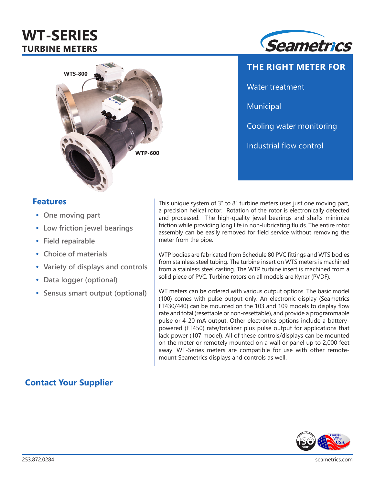# **WT-SERIES TURBINE METERS**





**THE RIGHT METER FOR** Water treatment Municipal Cooling water monitoring Industrial flow control

## **Features**

- **• One moving part**
- **• Low friction jewel bearings**
- **• Field repairable**
- **• Choice of materials**
- **• Variety of displays and controls**
- **• Data logger (optional)**

**Contact Your Supplier**

**• Sensus smart output (optional)**

This unique system of 3" to 8" turbine meters uses just one moving part, a precision helical rotor. Rotation of the rotor is electronically detected and processed. The high-quality jewel bearings and shafts minimize friction while providing long life in non-lubricating fluids. The entire rotor assembly can be easily removed for field service without removing the meter from the pipe.

WTP bodies are fabricated from Schedule 80 PVC fittings and WTS bodies from stainless steel tubing. The turbine insert on WTS meters is machined from a stainless steel casting. The WTP turbine insert is machined from a solid piece of PVC. Turbine rotors on all models are Kynar (PVDF).

WT meters can be ordered with various output options. The basic model (100) comes with pulse output only. An electronic display (Seametrics FT430/440) can be mounted on the 103 and 109 models to display flow rate and total (resettable or non-resettable), and provide a programmable pulse or 4-20 mA output. Other electronics options include a batterypowered (FT450) rate/totalizer plus pulse output for applications that lack power (107 model). All of these controls/displays can be mounted on the meter or remotely mounted on a wall or panel up to 2,000 feet away. WT-Series meters are compatible for use with other remotemount Seametrics displays and controls as well.

#### **PROUDLY MADE IN THE USA <sup>C</sup>ertifie<sup>d</sup> <sup>C</sup>ompan<sup>y</sup> ISO**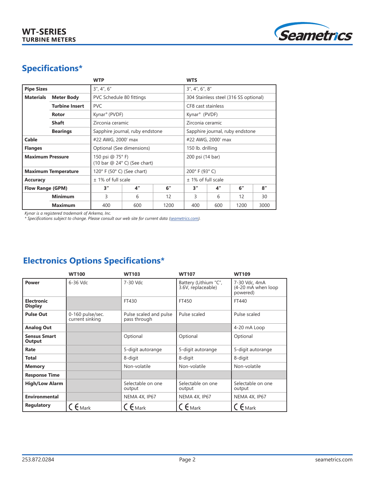

# **Specifications\***

|                                       |                 | <b>WTP</b>                                      |     |      | <b>WTS</b>                            |                    |      |      |
|---------------------------------------|-----------------|-------------------------------------------------|-----|------|---------------------------------------|--------------------|------|------|
| <b>Pipe Sizes</b>                     |                 | 3'', 4'', 6''                                   |     |      | 3'', 4'', 6'', 8''                    |                    |      |      |
| <b>Materials</b><br><b>Meter Body</b> |                 | PVC Schedule 80 fittings                        |     |      | 304 Stainless steel (316 SS optional) |                    |      |      |
| <b>Turbine Insert</b>                 |                 | <b>PVC</b>                                      |     |      | CF8 cast stainless                    |                    |      |      |
| Rotor                                 |                 | Kynar <sup>®</sup> (PVDF)                       |     |      | Kynar <sup>®</sup> (PVDF)             |                    |      |      |
| <b>Shaft</b>                          |                 | Zirconia ceramic                                |     |      | Zirconia ceramic                      |                    |      |      |
|                                       | <b>Bearings</b> | Sapphire journal, ruby endstone                 |     |      | Sapphire journal, ruby endstone       |                    |      |      |
| Cable                                 |                 | #22 AWG, 2000' max                              |     |      | #22 AWG, 2000' max                    |                    |      |      |
| <b>Flanges</b>                        |                 | Optional (See dimensions)                       |     |      | 150 lb. drilling                      |                    |      |      |
| <b>Maximum Pressure</b>               |                 | 150 psi @ 75°F)<br>(10 bar @ 24° C) (See chart) |     |      | 200 psi (14 bar)                      |                    |      |      |
| <b>Maximum Temperature</b>            |                 | 120° F (50° C) (See chart)                      |     |      | 200° F (93° C)                        |                    |      |      |
| <b>Accuracy</b>                       |                 | $±$ 1% of full scale                            |     |      | $±$ 1% of full scale                  |                    |      |      |
| <b>Flow Range (GPM)</b>               |                 | 3''                                             | 4"  | 6"   | 3"                                    | $4^{\prime\prime}$ | 6"   | 8''  |
|                                       | <b>Minimum</b>  | 3                                               | 6   | 12   | 3                                     | 6                  | 12   | 30   |
|                                       | <b>Maximum</b>  | 400                                             | 600 | 1200 | 400                                   | 600                | 1200 | 3000 |

*Kynar is a registered trademark of Arkema, Inc.* 

*\* Specifications subject to change. Please consult our web site for current data (seametrics.com).*

# **Electronics Options Specifications\***

|                                     | <b>WT100</b>                        | <b>WT103</b>                           | <b>WT107</b>                                | <b>WT109</b>                                    |
|-------------------------------------|-------------------------------------|----------------------------------------|---------------------------------------------|-------------------------------------------------|
| <b>Power</b>                        | 6-36 Vdc                            | 7-30 Vdc                               | Battery (Lithium "C",<br>3.6V, replaceable) | 7-30 Vdc, 4mA<br>(4-20 mA when loop<br>powered) |
| <b>Electronic</b><br><b>Display</b> |                                     | FT430                                  | FT450                                       | FT440                                           |
| <b>Pulse Out</b>                    | 0-160 pulse/sec.<br>current sinking | Pulse scaled and pulse<br>pass through | Pulse scaled                                | Pulse scaled                                    |
| <b>Analog Out</b>                   |                                     |                                        |                                             | 4-20 mA Loop                                    |
| <b>Sensus Smart</b><br>Output       |                                     | Optional                               | Optional                                    | Optional                                        |
| Rate                                |                                     | 5-digit autorange                      | 5-digit autorange                           | 5-digit autorange                               |
| <b>Total</b>                        |                                     | 8-digit                                | 8-digit                                     | 8-digit                                         |
| <b>Memory</b>                       |                                     | Non-volatile                           | Non-volatile                                | Non-volatile                                    |
| <b>Response Time</b>                |                                     |                                        |                                             |                                                 |
| <b>High/Low Alarm</b>               |                                     | Selectable on one<br>output            | Selectable on one<br>output                 | Selectable on one<br>output                     |
| Environmental                       |                                     | NEMA 4X, IP67                          | NEMA 4X, IP67                               | NEMA 4X, IP67                                   |
| <b>Regulatory</b>                   | $C \epsilon_{\text{Mark}}$          | $C \epsilon_{\text{Mark}}$             | $\zeta$ $\epsilon$ Mark                     | $C \epsilon_{\text{Mark}}$                      |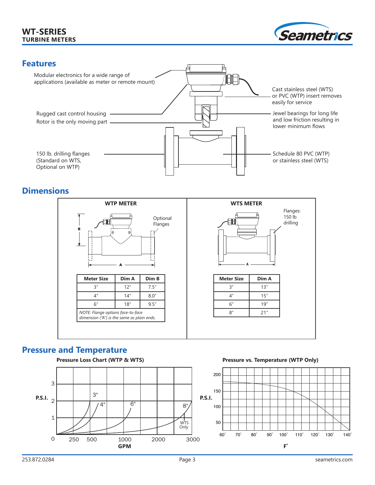#### **WT-SERIES TURBINE METERS**





### **Dimensions**



#### **Pressure and Temperature**